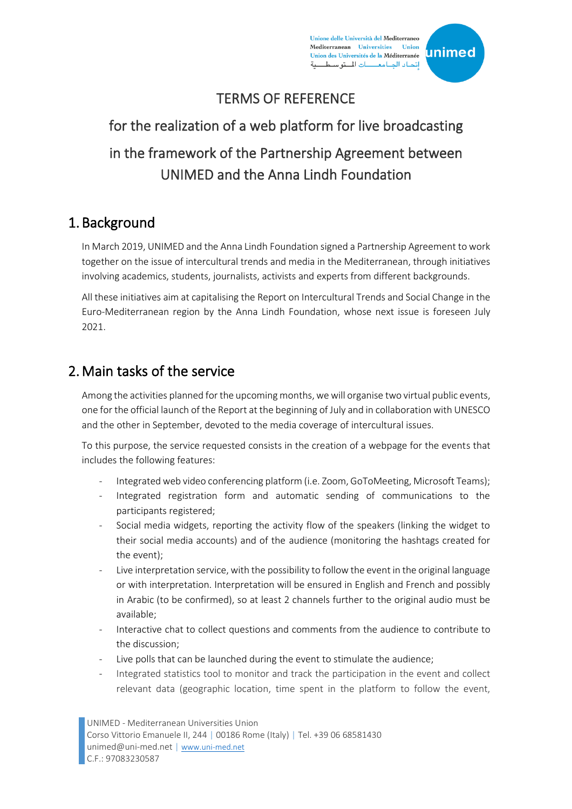Unione delle Università del Mediterraneo Mediterranean Universities Union Union des Universités de la Méditerranée إتحاد الجامعـــات المتوسط



## TERMS OF REFERENCE

# for the realization of a web platform for live broadcasting in the framework of the Partnership Agreement between UNIMED and the Anna Lindh Foundation

#### 1. Background

In March 2019, UNIMED and the Anna Lindh Foundation signed a Partnership Agreement to work together on the issue of intercultural trends and media in the Mediterranean, through initiatives involving academics, students, journalists, activists and experts from different backgrounds.

All these initiatives aim at capitalising the Report on Intercultural Trends and Social Change in the Euro-Mediterranean region by the Anna Lindh Foundation, whose next issue is foreseen July 2021.

## 2.Main tasks of the service

Among the activities planned for the upcoming months, we will organise two virtual public events, one for the official launch of the Report at the beginning of July and in collaboration with UNESCO and the other in September, devoted to the media coverage of intercultural issues.

To this purpose, the service requested consists in the creation of a webpage for the events that includes the following features:

- Integrated web video conferencing platform (i.e. Zoom, GoToMeeting, Microsoft Teams);
- Integrated registration form and automatic sending of communications to the participants registered;
- Social media widgets, reporting the activity flow of the speakers (linking the widget to their social media accounts) and of the audience (monitoring the hashtags created for the event);
- Live interpretation service, with the possibility to follow the event in the original language or with interpretation. Interpretation will be ensured in English and French and possibly in Arabic (to be confirmed), so at least 2 channels further to the original audio must be available;
- Interactive chat to collect questions and comments from the audience to contribute to the discussion;
- Live polls that can be launched during the event to stimulate the audience;
- Integrated statistics tool to monitor and track the participation in the event and collect relevant data (geographic location, time spent in the platform to follow the event,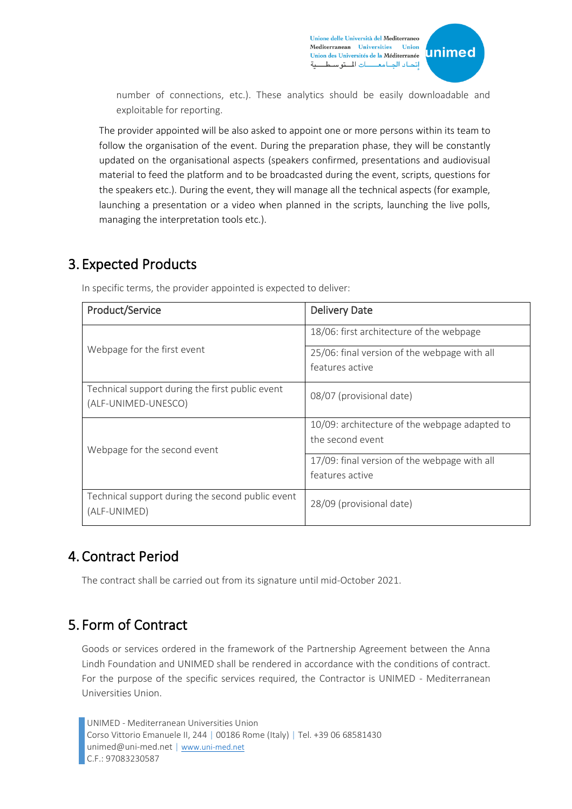

number of connections, etc.). These analytics should be easily downloadable and exploitable for reporting.

The provider appointed will be also asked to appoint one or more persons within its team to follow the organisation of the event. During the preparation phase, they will be constantly updated on the organisational aspects (speakers confirmed, presentations and audiovisual material to feed the platform and to be broadcasted during the event, scripts, questions for the speakers etc.). During the event, they will manage all the technical aspects (for example, launching a presentation or a video when planned in the scripts, launching the live polls, managing the interpretation tools etc.).

## 3. Expected Products

| Product/Service                                                        | <b>Delivery Date</b>                          |
|------------------------------------------------------------------------|-----------------------------------------------|
| Webpage for the first event                                            | 18/06: first architecture of the webpage      |
|                                                                        | 25/06: final version of the webpage with all  |
|                                                                        | features active                               |
| Technical support during the first public event<br>(ALF-UNIMED-UNESCO) | 08/07 (provisional date)                      |
| Webpage for the second event                                           | 10/09: architecture of the webpage adapted to |
|                                                                        | the second event                              |
|                                                                        | 17/09: final version of the webpage with all  |
|                                                                        | features active                               |
| Technical support during the second public event<br>(ALF-UNIMED)       | 28/09 (provisional date)                      |

In specific terms, the provider appointed is expected to deliver:

## 4. Contract Period

The contract shall be carried out from its signature until mid-October 2021.

## 5. Form of Contract

Goods or services ordered in the framework of the Partnership Agreement between the Anna Lindh Foundation and UNIMED shall be rendered in accordance with the conditions of contract. For the purpose of the specific services required, the Contractor is UNIMED - Mediterranean Universities Union.